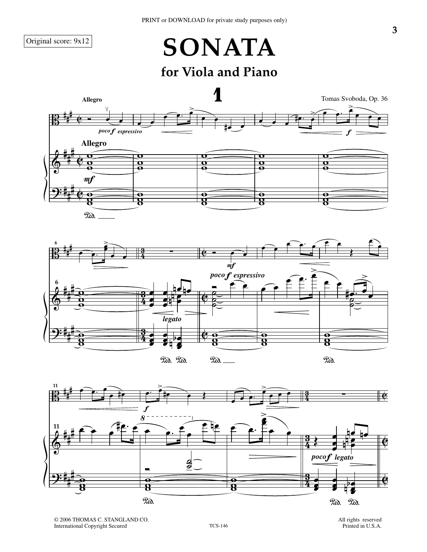## **SONATA**

## **for Viola and Piano**





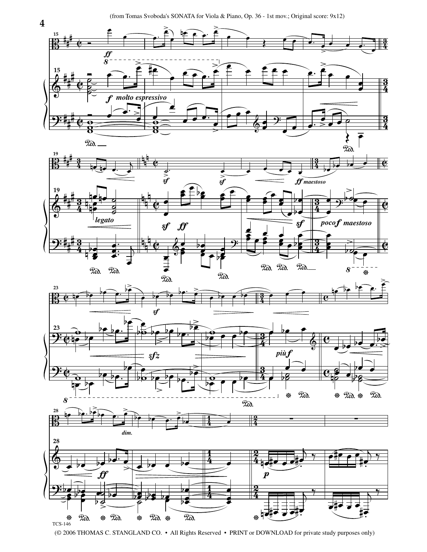(from Tomas Svoboda's SONATA for Viola & Piano, Op. 36 - 1st mov.; Original score: 9x12)







(© 2006 THOMAS C. STANGLAND CO. • All Rights Reserved • PRINT or DOWNLOAD for private study purposes only)

**4**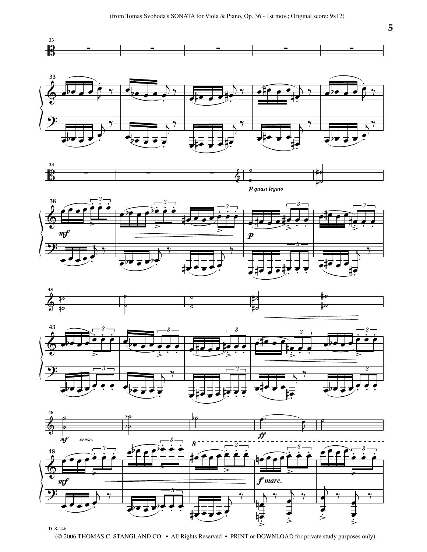







TCS-146

(© 2006 THOMAS C. STANGLAND CO. • All Rights Reserved • PRINT or DOWNLOAD for private study purposes only)